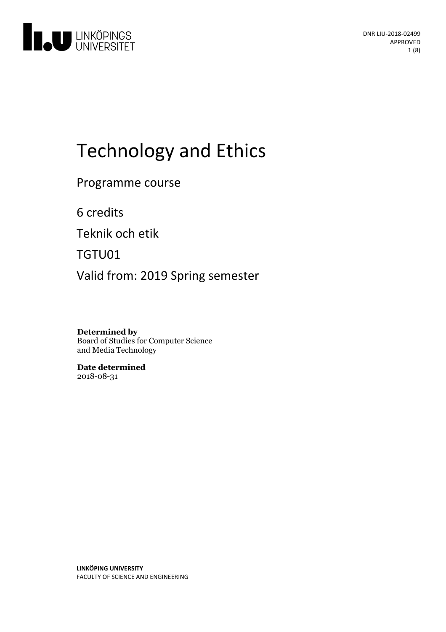

# Technologyand Ethics

Programme course

6 credits

Teknik och etik

TGTU01

Valid from: 2019 Spring semester

**Determined by** Board of Studies for Computer Science and Media Technology

**Date determined** 2018-08-31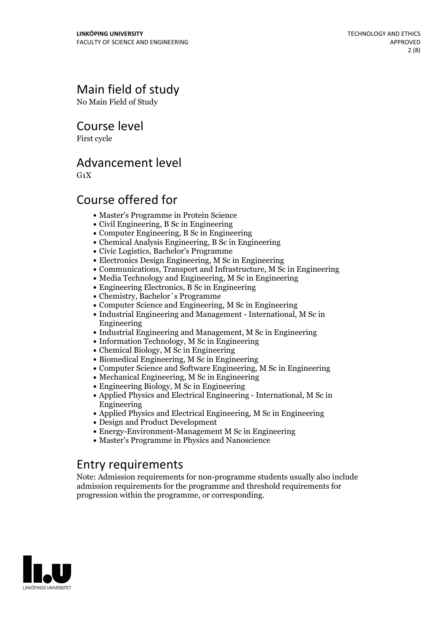# Main field of study

No Main Field of Study

Course level

First cycle

### Advancement level

 $G_1X$ 

# Course offered for

- Master's Programme in Protein Science
- Civil Engineering, B Sc in Engineering
- Computer Engineering, B Sc in Engineering
- Chemical Analysis Engineering, B Sc in Engineering
- Civic Logistics, Bachelor's Programme
- Electronics Design Engineering, M Sc in Engineering
- Communications, Transport and Infrastructure, M Sc in Engineering
- Media Technology and Engineering, M Sc in Engineering
- Engineering Electronics, B Sc in Engineering
- Chemistry, Bachelor´s Programme
- Computer Science and Engineering, M Sc in Engineering
- Industrial Engineering and Management International, M Sc in Engineering
- Industrial Engineering and Management, M Sc in Engineering
- Information Technology, M Sc in Engineering
- Chemical Biology, M Sc in Engineering
- Biomedical Engineering, M Sc in Engineering
- Computer Science and Software Engineering, M Sc in Engineering
- Mechanical Engineering, M Sc in Engineering
- Engineering Biology, M Sc in Engineering
- Applied Physics and Electrical Engineering International, M Sc in Engineering
- Applied Physics and Electrical Engineering, M Sc in Engineering
- Design and Product Development
- Energy-Environment-Management M Sc in Engineering
- Master's Programme in Physics and Nanoscience

### Entry requirements

Note: Admission requirements for non-programme students usually also include admission requirements for the programme and threshold requirements for progression within the programme, or corresponding.

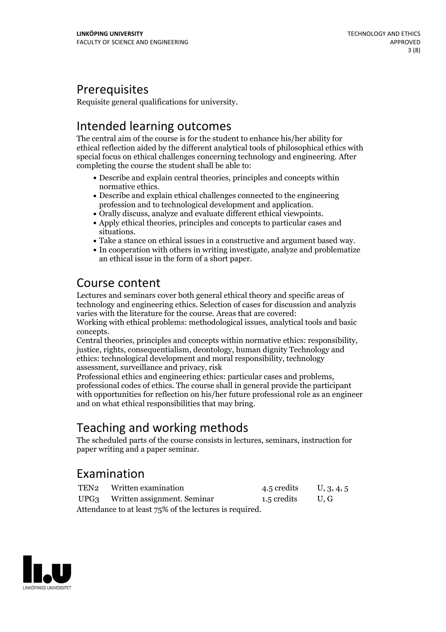### Prerequisites

Requisite general qualifications for university.

# Intended learning outcomes

The central aim of the course is for the student to enhance his/her ability for ethical reflection aided by the different analytical tools of philosophical ethics with special focus on ethical challenges concerning technology and engineering. After completing the course the student shall be able to:

- Describe and explain central theories, principles and concepts within normative ethics.<br>• Describe and explain ethical challenges connected to the engineering
- Orally discuss, analyze and evaluate different ethical viewpoints.<br>• Apply ethical theories, principles and concepts to particular cases and
- 
- 
- 
- situations.<br>• Take a stance on ethical issues in a constructive and argument based way.<br>• In cooperation with others in writing investigate, analyze and problematize an ethical issue in the form of a short paper.

### Course content

Lectures and seminars cover both general ethical theory and specific areas of technology and engineering ethics. Selection of cases for discussion and analyzis varies with the literature for the course. Areas that are covered:

Working with ethical problems: methodological issues, analytical tools and basic

concepts. Central theories, principles and concepts within normative ethics: responsibility, justice, rights, consequentialism, deontology, human dignity Technology and ethics: technological development and moral responsibility, technology

assessment, surveillance and privacy, risk<br>Professional ethics and engineering ethics: particular cases and problems, professional codes of ethics. The course shall in general provide the participant with opportunities for reflection on his/her future professional role as an engineer and on what ethical responsibilities that may bring.

# Teaching and working methods

The scheduled parts of the course consists in lectures, seminars, instruction for paper writing and a paper seminar.

# Examination

|                                                         | TEN2 Written examination         | 4.5 credits U, 3, 4, 5 |  |
|---------------------------------------------------------|----------------------------------|------------------------|--|
|                                                         | UPG3 Written assignment. Seminar | 1.5 credits U.G        |  |
| Attendance to at least 75% of the lectures is required. |                                  |                        |  |

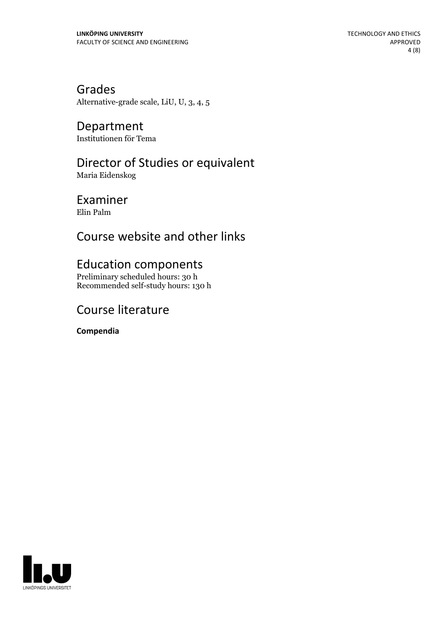Grades Alternative-grade scale, LiU, U, 3, 4, 5

Department Institutionen för Tema

# Director of Studies or equivalent

Maria Eidenskog

Examiner

Elin Palm

# Course website and other links

### Education components

Preliminary scheduled hours: 30 h Recommended self-study hours: 130 h

# Course literature

**Compendia**

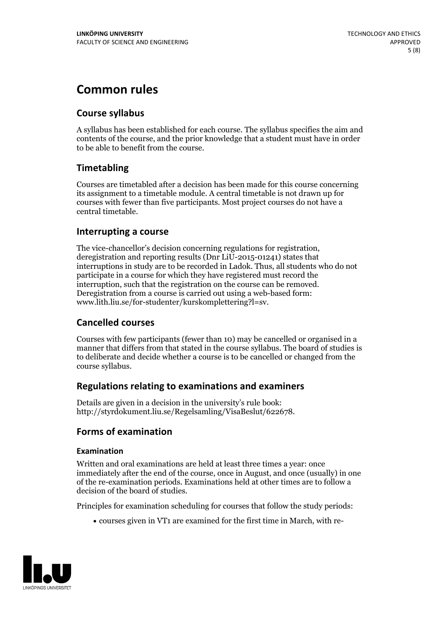# **Common rules**

### **Course syllabus**

A syllabus has been established for each course. The syllabus specifies the aim and contents of the course, and the prior knowledge that a student must have in order to be able to benefit from the course.

### **Timetabling**

Courses are timetabled after a decision has been made for this course concerning its assignment to a timetable module. A central timetable is not drawn up for courses with fewer than five participants. Most project courses do not have a central timetable.

### **Interrupting a course**

The vice-chancellor's decision concerning regulations for registration, deregistration and reporting results (Dnr LiU-2015-01241) states that interruptions in study are to be recorded in Ladok. Thus, all students who do not participate in a course for which they have registered must record the interruption, such that the registration on the course can be removed. Deregistration from <sup>a</sup> course is carried outusing <sup>a</sup> web-based form: www.lith.liu.se/for-studenter/kurskomplettering?l=sv.

### **Cancelled courses**

Courses with few participants (fewer than 10) may be cancelled or organised in a manner that differs from that stated in the course syllabus. The board of studies is to deliberate and decide whether a course is to be cancelled orchanged from the course syllabus.

### **Regulations relatingto examinations and examiners**

Details are given in a decision in the university's rule book: http://styrdokument.liu.se/Regelsamling/VisaBeslut/622678.

### **Forms of examination**

### **Examination**

Written and oral examinations are held at least three times a year: once immediately after the end of the course, once in August, and once (usually) in one of the re-examination periods. Examinations held at other times are to follow a decision of the board of studies.

Principles for examination scheduling for courses that follow the study periods:

courses given in VT1 are examined for the first time in March, with re-

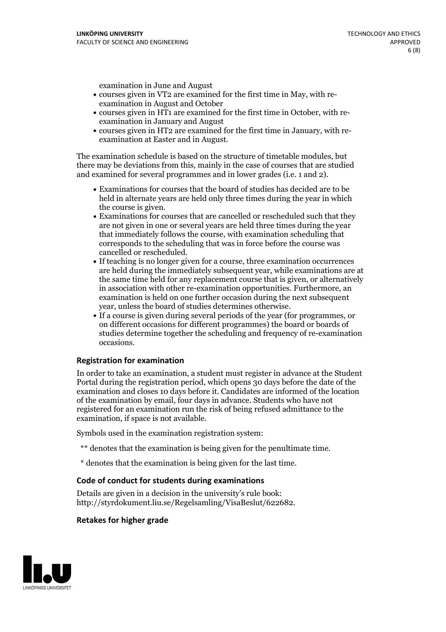examination in June and August

- courses given in VT2 are examined for the first time in May, with re-examination in August and October
- courses given in HT1 are examined for the first time in October, with re-examination in January and August
- courses given in HT2 are examined for the first time in January, with re-examination at Easter and in August.

The examination schedule is based on the structure of timetable modules, but there may be deviations from this, mainly in the case of courses that are studied and examined for several programmes and in lower grades (i.e. 1 and 2).

- Examinations for courses that the board of studies has decided are to be held in alternate years are held only three times during the year in which
- the course is given.<br>• Examinations for courses that are cancelled or rescheduled such that they are not given in one or several years are held three times during the year that immediately follows the course, with examination scheduling that corresponds to the scheduling that was in force before the course was cancelled or rescheduled.<br>• If teaching is no longer given for a course, three examination occurrences
- are held during the immediately subsequent year, while examinations are at the same time held for any replacement course that is given, or alternatively in association with other re-examination opportunities. Furthermore, an examination is held on one further occasion during the next subsequent year, unless the board of studies determines otherwise.<br>• If a course is given during several periods of the year (for programmes, or
- on different occasions for different programmes) the board orboards of studies determine together the scheduling and frequency of re-examination occasions.

#### **Registration for examination**

In order to take an examination, a student must register in advance at the Student Portal during the registration period, which opens 30 days before the date of the examination and closes 10 days before it. Candidates are informed of the location of the examination by email, four days in advance. Students who have not registered for an examination run the risk of being refused admittance to the examination, if space is not available.

Symbols used in the examination registration system:

- \*\* denotes that the examination is being given for the penultimate time.
- \* denotes that the examination is being given for the last time.

#### **Code of conduct for students during examinations**

Details are given in a decision in the university's rule book: http://styrdokument.liu.se/Regelsamling/VisaBeslut/622682.

#### **Retakes for higher grade**

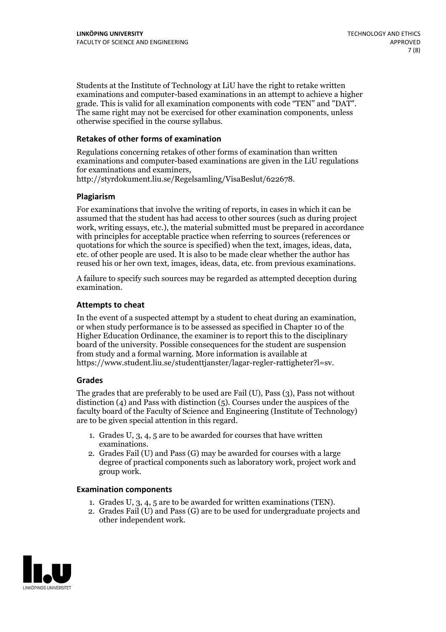Students at the Institute of Technology at LiU have the right to retake written examinations and computer-based examinations in an attempt to achieve a higher grade. This is valid for all examination components with code "TEN" and "DAT". The same right may not be exercised for other examination components, unless otherwise specified in the course syllabus.

### **Retakes of other forms of examination**

Regulations concerning retakes of other forms of examination than written examinations and computer-based examinations are given in the LiU regulations for examinations and examiners, http://styrdokument.liu.se/Regelsamling/VisaBeslut/622678.

#### **Plagiarism**

For examinations that involve the writing of reports, in cases in which it can be assumed that the student has had access to other sources (such as during project work, writing essays, etc.), the material submitted must be prepared in accordance with principles for acceptable practice when referring to sources (references or quotations for which the source is specified) when the text, images, ideas, data, etc. of other people are used. It is also to be made clear whether the author has reused his or her own text, images, ideas, data, etc. from previous examinations.

A failure to specify such sources may be regarded as attempted deception during examination.

#### **Attempts to cheat**

In the event of <sup>a</sup> suspected attempt by <sup>a</sup> student to cheat during an examination, or when study performance is to be assessed as specified in Chapter <sup>10</sup> of the Higher Education Ordinance, the examiner is to report this to the disciplinary board of the university. Possible consequences for the student are suspension from study and a formal warning. More information is available at https://www.student.liu.se/studenttjanster/lagar-regler-rattigheter?l=sv.

#### **Grades**

The grades that are preferably to be used are Fail (U), Pass (3), Pass not without distinction  $(4)$  and Pass with distinction  $(5)$ . Courses under the auspices of the faculty board of the Faculty of Science and Engineering (Institute of Technology) are to be given special attention in this regard.

- 1. Grades U, 3, 4, 5 are to be awarded for courses that have written
- examinations. 2. Grades Fail (U) and Pass (G) may be awarded for courses with <sup>a</sup> large degree of practical components such as laboratory work, project work and group work.

#### **Examination components**

- 
- 1. Grades U, 3, 4, <sup>5</sup> are to be awarded for written examinations (TEN). 2. Grades Fail (U) and Pass (G) are to be used for undergraduate projects and other independent work.